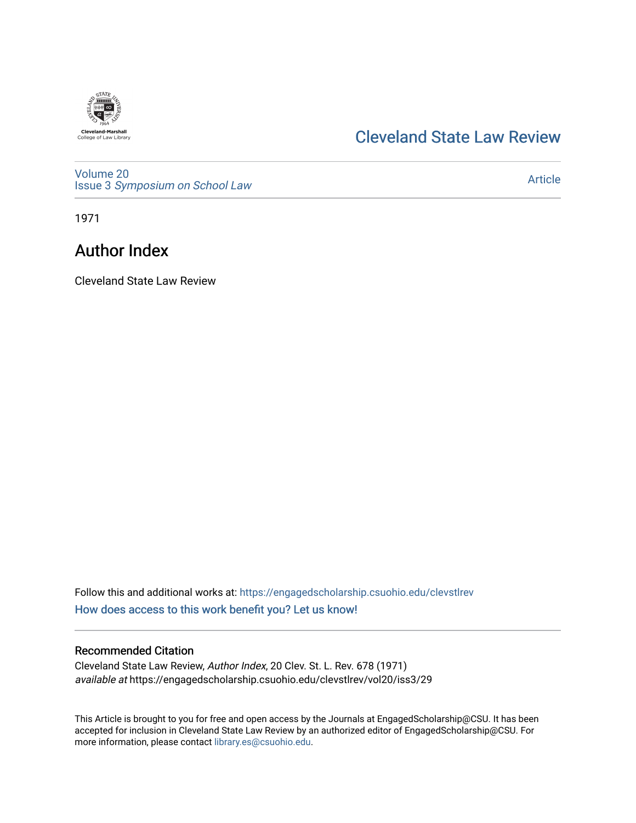

## [Cleveland State Law Review](https://engagedscholarship.csuohio.edu/clevstlrev)

[Volume 20](https://engagedscholarship.csuohio.edu/clevstlrev/vol20) Issue 3 [Symposium on School Law](https://engagedscholarship.csuohio.edu/clevstlrev/vol20/iss3) 

[Article](https://engagedscholarship.csuohio.edu/clevstlrev/vol20/iss3/29) 

1971

# Author Index

Cleveland State Law Review

Follow this and additional works at: [https://engagedscholarship.csuohio.edu/clevstlrev](https://engagedscholarship.csuohio.edu/clevstlrev?utm_source=engagedscholarship.csuohio.edu%2Fclevstlrev%2Fvol20%2Fiss3%2F29&utm_medium=PDF&utm_campaign=PDFCoverPages) [How does access to this work benefit you? Let us know!](http://library.csuohio.edu/engaged/)

## Recommended Citation

Cleveland State Law Review, Author Index, 20 Clev. St. L. Rev. 678 (1971) available at https://engagedscholarship.csuohio.edu/clevstlrev/vol20/iss3/29

This Article is brought to you for free and open access by the Journals at EngagedScholarship@CSU. It has been accepted for inclusion in Cleveland State Law Review by an authorized editor of EngagedScholarship@CSU. For more information, please contact [library.es@csuohio.edu](mailto:library.es@csuohio.edu).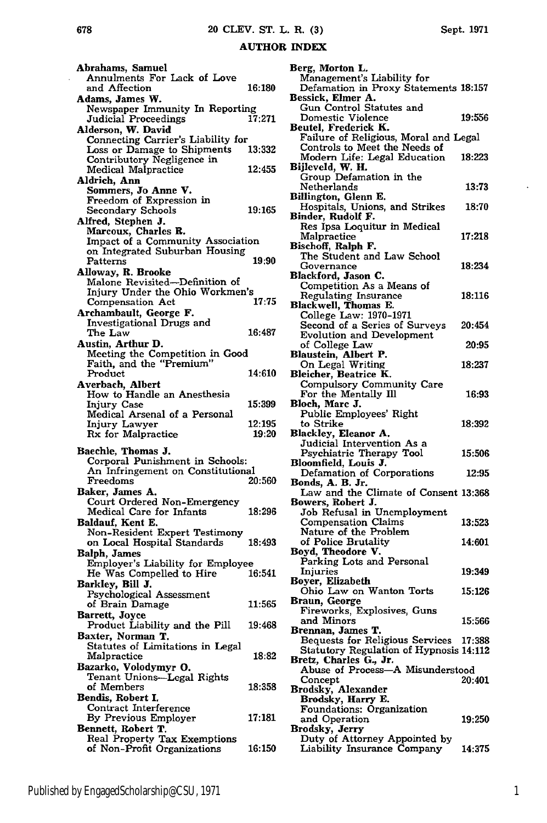#### AUTHOR **INDEX**

Abrahams, Samuel Annulments For Lack of Love and Affection **16:180** Adams, James W. Newspaper Immunity In Reporting<br>Judicial Proceedings 17:271 **Judicial Proceedings** Alderson, W. David Connecting Carrier's Liability for Loss or Damage to Shipments **13:332** Contributory Negligence **in** Medical Malpractice 12:455 Aldrich, Ann Sommers, Jo Anne **V.** Freedom of Expression in Secondary Schools 19:165 Alfred, Stephen **J.** Marcoux, Charles R. Impact of a Community Association<br>on Integrated Suburban Housing<br>Patterns 19:90 Patterns **19:90** Alloway, R. Brooke Malone Revisited-Definition of Injury Under the Ohio Workmen's Compensation Act **17:75** Archambault, George F. Investigational Drugs and  $The Law$   $16:487$ Austin, Arthur **D.** Meeting the Competition in Good Faith, and the "Premium" Product 14:610 Averbach, Albert How to Handle an Anesthesia Injury Case 15:399 Medical Arsenal of a Personal Injury Lawyer 12:195<br>Rx for Malpractice 19:20 **Rx** for Malpractice Baechle, Thomas **J.** Corporal Punishment in Schools: An Infringement on Constitutional Freedoms Baker, James **A.** Court Ordered Non-Emergency Medical Care for Infants **18:296** Baldauf, Kent **E.** Non-Resident Expert Testimony on Local Hospital Standards 18:493 Balph, James Employer's Liability for Employee He Was Compelled to Hire 16:541 Barkley, Bill **J.** Psychological Assessment of Brain Damage **11:565** Barrett, Joyce Product Liability and the Pill **19:468** Baxter, Norman T. Statutes of Limitations in Legal Malpractice **18:82** Bazarko, Volodymyr **0.** Tenant Unions-Legal Rights of Members **18:358** of Members<br>Bendis, Robert I. Contract Interference **By** Previous Employer **17:181** Bennett, Robert T. Real Property Tax Exemptions of Non-Profit Organizations **16:150**

| Published by EngagedScholarship@CSU, 1971 |  |  |
|-------------------------------------------|--|--|

| Berg, Morton L.                                                        |        |
|------------------------------------------------------------------------|--------|
| Management's Liability for                                             |        |
| Defamation in Proxy Statements 18:157                                  |        |
| Bessick, Elmer A.                                                      |        |
| Gun Control Statutes and<br>Domestic Violence                          | 19:556 |
| Beutel, Frederick K.                                                   |        |
|                                                                        |        |
| Failure of Religious, Moral and Legal<br>Controls to Meet the Needs of |        |
|                                                                        | 18:223 |
| Modern Life: Legal Education<br>Bijleveld, W. H.                       |        |
| Group Defamation in the                                                |        |
| Netherlands                                                            | 13:73  |
| Billington, Glenn E.                                                   |        |
| Hospitals, Unions, and Strikes<br>Binder, Rudolf F.                    | 18:70  |
| Res Ipsa Loquitur in Medical                                           |        |
| Malpractice                                                            | 17:218 |
| Bischoff, Ralph F.                                                     |        |
| The Student and Law School                                             |        |
| Governance                                                             | 18:234 |
| Blackford, Jason C.                                                    |        |
| Competition As a Means of                                              |        |
| <b>Regulating Insurance</b>                                            | 18:116 |
| Blackwell, Thomas E.<br>College Law: 1970-1971                         |        |
| Second of a Series of Surveys                                          | 20:454 |
| <b>Evolution and Development</b>                                       |        |
| of College Law                                                         | 20:95  |
| Blaustein, Albert P.                                                   |        |
| On Legal Writing                                                       | 18:237 |
| Bleicher, Beatrice K.                                                  |        |
| <b>Compulsory Community Care</b>                                       |        |
| For the Mentally Ill                                                   | 16:93  |
| Bloch, Marc J.<br>Public Employees' Right                              |        |
| to Strike                                                              | 18:392 |
| Blackley, Eleanor A.                                                   |        |
| Judicial Intervention As a                                             |        |
| Psychiatric Therapy Tool                                               | 15:506 |
| Bloomfield, Louis J.                                                   |        |
| Defamation of Corporations                                             | 12:95  |
| Bonds, A. B. Jr.<br>Law and the Climate of Consent 13:368              |        |
| Bowers, Robert J.                                                      |        |
| Job Refusal in Unemployment                                            |        |
|                                                                        | 13:523 |
| Compensation Claims<br>Nature of the Problem                           |        |
| of Police Brutality                                                    | 14:601 |
| Boyd, Theodore V.                                                      |        |
| Parking Lots and Personal                                              |        |
| <b>Injuries</b>                                                        | 19:349 |
| Boyer, Elizabeth<br>Ohio Law on Wanton Torts                           | 15:126 |
| Braun, George                                                          |        |
| Fireworks, Explosives, Guns                                            |        |
| and Minors                                                             | 15:566 |
| ennan, James T.<br>Br                                                  |        |
| Bequests for Religious Services                                        | 17:388 |
| Statutory Regulation of Hypnosis 14:112                                |        |
| Bretz, Charles G., Jr.<br>Abuse of Process-A Misunderstood             |        |
| Concept                                                                | 20:401 |
| <b>Brodsky, Alexander</b>                                              |        |
| Brodsky, Harry E.                                                      |        |
| <b>Foundations: Organization</b>                                       |        |
| and Operation                                                          | 19:250 |
| Brodsky, Jerry                                                         |        |
| Duty of Attorney Appointed by                                          |        |
| Liability Insurance Company                                            | 14:375 |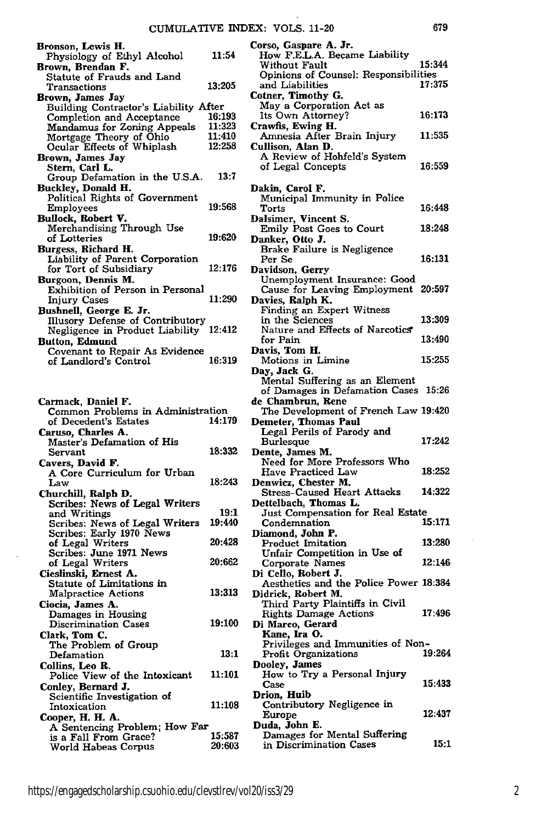| Bronson, Lewis H.                                           |               | Corso, Gaspare A. Jr.                                   |        |
|-------------------------------------------------------------|---------------|---------------------------------------------------------|--------|
| Physiology of Ethyl Alcohol                                 | 11:54         | How F.E.L.A. Became Liability<br>Without Fault          | 15:344 |
| Brown, Brendan F.<br>Statute of Frauds and Land             |               | Opinions of Counsel: Responsibilities                   |        |
| Transactions                                                | 13:205        | and Liabilities                                         | 17:375 |
| Brown, James Jay                                            |               | Cotner, Timothy G.                                      |        |
| Building Contractor's Liability After                       | 16:193        | May a Corporation Act as<br>Its Own Attorney?           | 16:173 |
| Completion and Acceptance<br>Mandamus for Zoning Appeals    | 11:323        | Crawfis, Ewing H.                                       |        |
| Mortgage Theory of Ohio                                     | 11:410        | Amnesia After Brain Injury                              | 11:535 |
| Ocular Effects of Whiplash                                  | 12:258        | Cullison, Alan D.                                       |        |
| Brown, James Jay                                            |               | A Review of Hohfeld's System                            |        |
| Stern, Carl L.                                              | 13:7          | of Legal Concepts                                       | 16:559 |
| Group Defamation in the U.S.A.<br>Buckley, Donald H.        |               | Dakin, Carol F.                                         |        |
| <b>Political Rights of Government</b>                       |               | Municipal Immunity in Police                            |        |
| <b>Employees</b>                                            | 19:568        | Torts                                                   | 16:448 |
| Bullock, Robert V.                                          |               | Dalsimer, Vincent S.                                    |        |
| Merchandising Through Use                                   | 19:620        | <b>Emily Post Goes to Court</b>                         | 18:248 |
| of Lotteries<br>Burgess, Richard H.                         |               | Danker, Otto J.<br><b>Brake Failure is Negligence</b>   |        |
| Liability of Parent Corporation                             |               | Per Se                                                  | 16:131 |
| for Tort of Subsidiary                                      | 12:176        | Davidson, Gerry                                         |        |
| Burgoon, Dennis M.                                          |               | Unemployment Insurance: Good                            |        |
| Exhibition of Person in Personal                            |               | Cause for Leaving Employment 20:597                     |        |
| <b>Injury Cases</b>                                         | 11:290        | Davies, Ralph K.                                        |        |
| Bushnell, George E. Jr.<br>Illusory Defense of Contributory |               | Finding an Expert Witness<br>in the Sciences            | 13:309 |
| Negligence in Product Liability 12:412                      |               | Nature and Effects of Narcotics                         |        |
| <b>Button, Edmund</b>                                       |               | for Pain                                                | 13:490 |
| Covenant to Repair As Evidence                              |               | Davis, Tom H.                                           |        |
| of Landlord's Control                                       | 16:319        | Motions in Limine                                       | 15:255 |
|                                                             |               | Day, Jack G.<br>Mental Suffering as an Element          |        |
|                                                             |               | of Damages in Defamation Cases 15:26                    |        |
| Carmack, Daniel F.                                          |               | de Chambrun, Rene                                       |        |
| Common Problems in Administration                           |               | The Development of French Law 19:420                    |        |
| of Decedent's Estates                                       | 14:179        | Demeter, Thomas Paul                                    |        |
| Caruso, Charles A.<br>Master's Defamation of His            |               | Legal Perils of Parody and<br><b>Burlesque</b>          | 17:242 |
| Servant                                                     | 18:332        | Dente, James M.                                         |        |
| Cavers, David F.                                            |               | Need for More Professors Who                            |        |
| A Core Curriculum for Urban                                 |               | Have Practiced Law                                      | 18:252 |
| Law                                                         | 18:243        | Denwicz, Chester M.                                     | 14:322 |
| Churchill, Ralph D.                                         |               | Stress–Caused Heart Attacks<br>Dettelbach, Thomas L.    |        |
| Scribes: News of Legal Writers<br>and Writings              | 19:1          | Just Compensation for Real Estate                       |        |
| Scribes: News of Legal Writers                              | 19:440        | Condemnation                                            | 15:171 |
| Scribes: Early 1970 News                                    |               | Diamond, John P.                                        |        |
| of Legal Writers                                            | 20:428        | Product Imitation                                       | 13:280 |
| Scribes: June 1971 News<br>of Legal Writers                 | 20:662        | Unfair Competition in Use of<br>Corporate Names         | 12:146 |
| Cieslinski, Ernest A.                                       |               | Di Cello, Robert J.                                     |        |
| Statute of Limitations in                                   |               | Aesthetics and the Police Power 18:384                  |        |
| <b>Malpractice Actions</b>                                  | 13:313        | Didrick, Robert M.                                      |        |
| Ciocia, James A.                                            |               | Third Party Plaintiffs in Civil                         |        |
| Damages in Housing                                          | 19:100        | <b>Rights Damage Actions</b>                            | 17:496 |
| <b>Discrimination Cases</b><br>Clark, Tom C.                |               | Di Marco, Gerard<br>Kane, Ira O.                        |        |
| The Problem of Group                                        |               | Privileges and Immunities of Non-                       |        |
| Defamation                                                  | 13:1          | <b>Profit Organizations</b>                             | 19:264 |
| Collins, Leo R.                                             |               | Dooley, James                                           |        |
| Police View of the Intoxicant                               | <b>11:101</b> | How to Try a Personal Injury                            | 15:433 |
| Conley, Bernard J.                                          |               | Case<br>Drion, Huib                                     |        |
| Scientific Investigation of<br>Intoxication                 | 11:108        | Contributory Negligence in                              |        |
| Cooper, H. H. A.                                            |               | Europe                                                  | 12:437 |
| A Sentencing Problem; How Far                               |               | Duda, John E.                                           |        |
| is a Fall From Grace?                                       | 15:587        | Damages for Mental Suffering<br>in Discrimination Cases | 15:1   |
| World Habeas Corpus                                         | 20:603        |                                                         |        |
|                                                             |               |                                                         |        |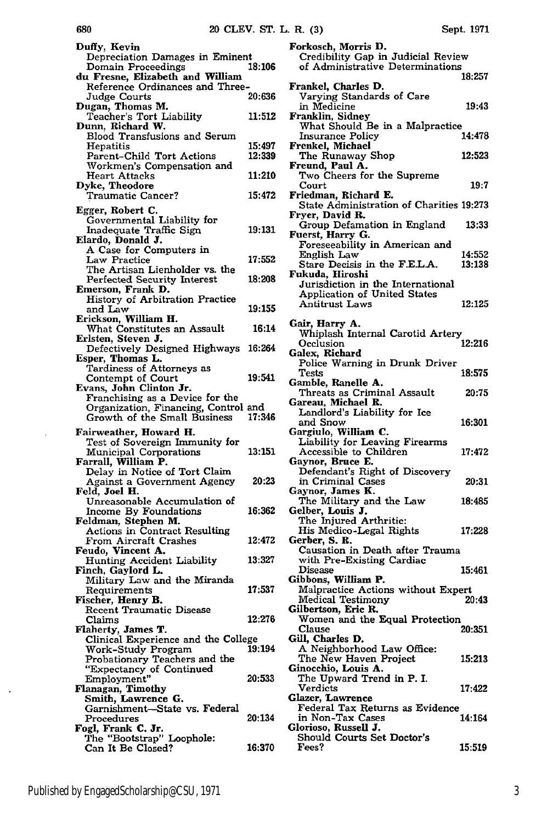| Duffy, Kevin                                                                 |        |
|------------------------------------------------------------------------------|--------|
| Depreciation Damages in Eminent<br>Domain Proceedings                        | 18:106 |
| du Fresne, Elizabeth and William                                             |        |
| Reference Ordinances and Three-                                              | 20:636 |
| Judge Courts<br>Dugan, Thomas M.                                             |        |
| Teacher's Tort Liability                                                     | 11:512 |
| Dunn, Richard W.<br>Blood Transfusions and Serum                             |        |
| Hepatitis                                                                    | 15:497 |
| Parent-Child Tort Actions                                                    | 12:339 |
| Workmen's Compensation and<br>Heart Attacks                                  | 11:210 |
| Dyke, Theodore                                                               |        |
| <b>Traumatic Cancer?</b>                                                     | 15:472 |
| Egger, Robert C.                                                             |        |
| Governmental Liability for<br>Inadequate Traffic Sign                        | 19:131 |
| Elardo, Donald J.                                                            |        |
| A Case for Computers in<br>Law Practice                                      | 17:552 |
| The Artisan Lienholder vs. the                                               |        |
| Perfected Security Interest                                                  | 18:208 |
| Emerson, Frank D.<br>History of Arbitration Practice                         |        |
| and Law                                                                      | 19:155 |
| Erickson, William H.<br>What Constitutes an Assault                          | 16:14  |
| Erlsten, Steven J.                                                           |        |
| Defectively Designed Highways                                                | 16:264 |
| Esper, Thomas L.                                                             |        |
| Tardiness of Attorneys as<br>Contempt of Court                               | 19:541 |
| Evans, John Clinton Jr.                                                      |        |
| Franchising as a Device for the<br>Organization, Financing, Control and      |        |
|                                                                              |        |
| Growth of the Small Business                                                 | 17:346 |
| Fairweather, Howard H.                                                       |        |
| Test of Sovereign Immunity for                                               |        |
| <b>Municipal Corporations</b>                                                | 13:151 |
| Farrall, William P.<br>Delay in Notice of Tort Claim                         |        |
|                                                                              | 20:23  |
| Against a Government Agency<br>Feld, Joel H.<br>Unreasonable Accumulation of |        |
| Income By Foundations                                                        | 16:362 |
| Feldman, Stephen M.                                                          |        |
| <b>Actions in Contract Resulting</b><br>From Aircraft Crashes                | 12:472 |
| Feudo, Vincent A.                                                            | 13:327 |
| Hunting Accident Liability<br>Finch, Gaylord L.                              |        |
| Military Law and the Miranda                                                 |        |
| Requirements<br>Fischer, Henry B.                                            | 17:537 |
| <b>Recent Traumatic Disease</b>                                              |        |
| Claims                                                                       | 12:276 |
| Flaherty, James T.<br>Clinical Experience and the College                    |        |
| Work-Study Program                                                           | 19:194 |
|                                                                              |        |
| Probationary Teachers and the<br>"Expectancy of Continued<br>Employment"     | 20:533 |
| Flanagan, Timothy                                                            |        |
| Smith, Lawrence G.<br>Garnishment-State vs. Federal                          |        |
| Procedures                                                                   | 20:134 |
| Fogl, Frank C. Jr.<br>The "Bootstrap" Loophole:                              |        |

680

 $\bar{1}$ 

 $\Box$ 

| Forkosch, Morris D.<br>Credibility Gap in Judicial Review   |        |
|-------------------------------------------------------------|--------|
| of Administrative Determinations                            |        |
| Frankel, Charles D.                                         | 18:257 |
| Varying Standards of Care                                   |        |
| in Medicine<br>Franklin, Sidney                             | 19:43  |
| What Should Be in a Malpractice                             |        |
| Insurance Policy                                            | 14:478 |
| Frenkel, Michael<br>The Runaway Shop                        | 12:523 |
| Freund, Paul A.                                             |        |
| Two Cheers for the Supreme<br>Court                         | 19:7   |
| Friedman, Richard E.                                        |        |
| State Administration of Charities 19:273<br>Fryer, David R. |        |
| Group Defamation in England                                 | 13:33  |
| Fuerst, Harry G.<br>Foreseeability in American and          |        |
| English Law                                                 | 14:552 |
| Stare Decisis in the F.E.L.A.                               | 13:138 |
| Fukuda, Hiroshi<br>Jurisdiction in the International        |        |
| <b>Application of United States</b>                         |        |
| Antitrust Laws                                              | 12:125 |
| Gair, Harry A.                                              |        |
| Whiplash Internal Carotid Artery<br>Occlusion               | 12:216 |
| Galex, Richard                                              |        |
| Police Warning in Drunk Driver                              |        |
| Tests<br>Gamble, Ranelle A.                                 | 18:575 |
| Threats as Criminal Assault                                 | 20:75  |
| Gareau, Michael R.<br>Landlord's Liability for Ice          |        |
| and Snow                                                    | 16:301 |
| Gargiulo, William C.<br>Liability for Leaving Firearms      |        |
| Accessible to Children                                      | 17:472 |
| Gaynor, Bruce E.                                            |        |
| Defendant's Right of Discovery<br>in Criminal Cases         | 20:31  |
| Gaynor, James K.                                            |        |
| The Military and the Law<br>Gelber, Louis J.                | 18:485 |
| The Injured Arthritic:                                      |        |
| His Medico-Legal Rights<br>Gerber, S. R.                    | 17:228 |
| Causation in Death after Trauma                             |        |
| with Pre-Existing Cardiac<br><b>Disease</b>                 | 15:461 |
| Gibbons, William P.                                         |        |
| Malpractice Actions without Expert                          |        |
| <b>Medical Testimony</b><br>Gilbertson, Eric R.             | 20:43  |
| Women and the Equal Protection                              |        |
| <b>Clause</b><br>Gill, Charles D.                           | 20:351 |
| A Neighborhood Law Office:                                  |        |
| The New Haven Project<br>Ginocchio, Louis A.                | 15:213 |
| The Upward Trend in P. I.                                   |        |
| Verdicts                                                    | 17:422 |
| Glazer, Lawrence<br>Federal Tax Returns as Evidence         |        |
| in Non-Tax Cases                                            | 14:164 |
| Glorioso, Russell J.<br>Should Courts Set Doctor's          |        |
| <b>Fees?</b>                                                | 15:519 |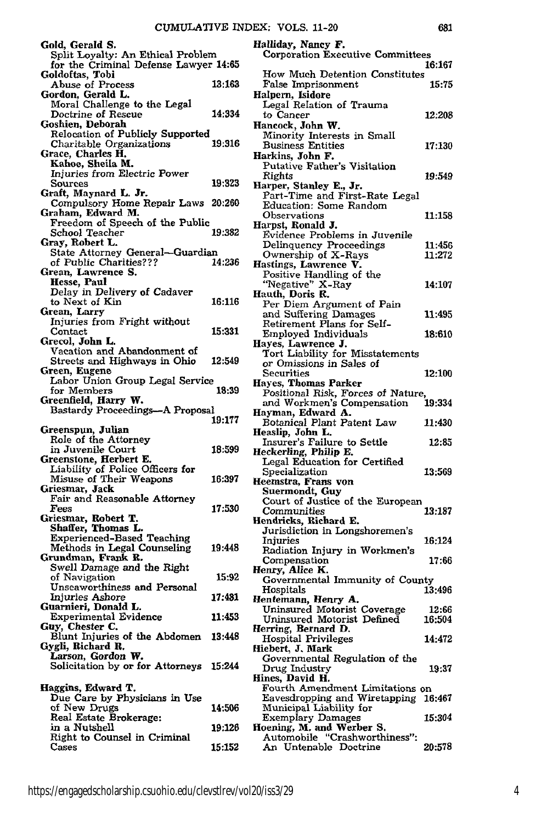| Gold, Gerald S.                                                            |        |
|----------------------------------------------------------------------------|--------|
| Split Loyalty: An Ethical Problem<br>for the Criminal Defense Lawyer 14:65 |        |
| Goldoftas, Tobi                                                            |        |
| Abuse of Process                                                           | 13:163 |
| Gordon, Gerald L.                                                          |        |
| Moral Challenge to the Legal<br>Doctrine of Rescue                         | 14:334 |
| Goshien, Deborah                                                           |        |
| Relocation of Publicly Supported                                           |        |
| Charitable Organizations                                                   | 19:316 |
| Grace, Charles H.<br>Kahoe, Sheila M.                                      |        |
| Injuries from Electric Power                                               |        |
| Sources                                                                    | 19:323 |
| Graft, Maynard L. Jr.                                                      |        |
| Compulsory Home Repair Laws 20:260<br>Graham, Edward M.                    |        |
| Freedom of Speech of the Public                                            |        |
| School Teacher                                                             | 19:382 |
| Gray, Robert L.<br>State Attorney General—Guardian                         |        |
| of Public Charities???                                                     | 14:236 |
| Grean, Lawrence S.                                                         |        |
| Hesse, Paul                                                                |        |
| Delay in Delivery of Cadaver<br>to Next of Kin                             | 16:116 |
| Grean, Larry                                                               |        |
| Injuries from Fright without                                               |        |
| Contact                                                                    | 15:331 |
| Grecol, John L.<br>Vacation and Abandonment of                             |        |
| Streets and Highways in Ohio                                               | 12:549 |
| Green, Eugene                                                              |        |
| Labor Union Group Legal Service<br>for Members                             | 18:39  |
| Greenfield, Harry W.                                                       |        |
| Bastardy Proceedings-A Proposal                                            |        |
|                                                                            | 19:177 |
| Greenspun, Julian<br>Role of the Attorney                                  |        |
| in Juvenile Court                                                          | 18:599 |
| Greenstone, Herbert E.                                                     |        |
| Liability of Police Officers for<br>Misuse of Their Weapons                | 16:397 |
| Griesmar, Jack                                                             |        |
| Fair and Reasonable Attorney                                               |        |
| Fees                                                                       | 17:530 |
| Griesmar, Robert T.<br>Shaffer, Thomas L.                                  |        |
| <b>Experienced-Based Teaching</b>                                          |        |
| Methods in Legal Counseling                                                | 19:448 |
| Grundman, Frank R.<br>Swell Damage and the Right                           |        |
| of Navigation                                                              | 15:92  |
| Unseaworthiness and Personal                                               |        |
| Injuries Ashore                                                            | 17:481 |
| Guarnieri, Donald L<br><b>Experimental Evidence</b>                        | 11:453 |
| Guy, Chester C.                                                            |        |
| Blunt Injuries of the Abdomen                                              | 13:448 |
| Gygli, Richard R.<br>Larson, Gordon W.                                     |        |
| Solicitation by or for Attorneys                                           | 15:244 |
|                                                                            |        |
| Haggins, Edward T.                                                         |        |
| Due Care by Physicians in Use                                              |        |
| of New Drugs<br>Real Estate Brokerage:                                     | 14:506 |
| in a Nutshell                                                              | 19:126 |
| Right to Counsel in Criminal                                               |        |
| Cases                                                                      | 15:152 |

| Halpern, Isidore                                                                    |               |
|-------------------------------------------------------------------------------------|---------------|
| Legal Relation of Trauma                                                            |               |
| to Cancer                                                                           | 12:208        |
| Hancock, John W.                                                                    |               |
| Minority Interests in Small                                                         |               |
| <b>Business Entities</b>                                                            | 17:130        |
| Harkins, John F.                                                                    |               |
| Putative Father's Visitation                                                        |               |
| Rights                                                                              | 19:549        |
| Harper, Stanley E., Jr.                                                             |               |
| Part-Time and First-Rate Legal                                                      |               |
| Education: Some Random                                                              |               |
| Observations                                                                        | 11:158        |
| Harpst, Ronald J.                                                                   |               |
| Evidence Problems in Juvenile<br>Delinquency Proceedings                            |               |
| Ownership of X-Rays                                                                 | 11:456        |
| Hastings, Lawrence V.                                                               | 11:272        |
| Positive Handling of the                                                            |               |
| "Negative" X-Ray                                                                    | 14:107        |
| Hauth, Doris R.                                                                     |               |
| Per Diem Argument of Pain                                                           |               |
| and Suffering Damages                                                               | 11:495        |
| Retirement Plans for Self-                                                          |               |
| Employed Individuals                                                                | 18:610        |
| Hayes, Lawrence J.                                                                  |               |
| Tort Liability for Misstatements                                                    |               |
| or Omissions in Sales of                                                            |               |
| Securities                                                                          | <b>12:100</b> |
| Hayes, Thomas Parker                                                                |               |
|                                                                                     |               |
| Positional Risk, Forces of Nature,<br>and Workmen's Compensation                    | 19:334        |
| Hayman, Edward A.                                                                   |               |
| Botanical Plant Patent Law                                                          | 11:430        |
|                                                                                     |               |
| Heaslip, John L.                                                                    |               |
|                                                                                     | 12:85         |
| Insurer's Failure to Settle<br>Heckerling, Philip E.                                |               |
| Legal Education for Certified                                                       |               |
| Specialization                                                                      | 13:569        |
| Heemstra, Frans von                                                                 |               |
| Suermondt, Guy                                                                      |               |
| Court of Justice of the European                                                    |               |
| Communities                                                                         | 13:187        |
| Hendricks, Richard E.                                                               |               |
| Jurisdiction in Longshoremen's                                                      |               |
| Injuries                                                                            | 16:124        |
| Radiation Injury in Workmen's                                                       |               |
| Compensation                                                                        | 17:66         |
| Henry, Alice K.                                                                     |               |
| Governmental Immunity of County                                                     |               |
| Hospitals                                                                           | 13:496        |
| Hentemann, Henry A.                                                                 |               |
| Uninsured Motorist Coverage                                                         | 12:66         |
| Uninsured Motorist Defined                                                          | 16:504        |
| Herring, Bernard D.                                                                 |               |
| Hospital Privileges                                                                 | 14:472        |
| Hiebert, J. Mark                                                                    |               |
| Governmental Regulation of the                                                      |               |
| Drug Industry                                                                       | 19:37         |
| Hines, David H.                                                                     |               |
| Fourth Amendment Limitations on                                                     | 16:467        |
| Eavesdropping and Wiretapping<br>Municipal Liability for                            |               |
|                                                                                     | 15:304        |
| Exemplary Damages                                                                   |               |
|                                                                                     |               |
| Hoening, M. and Werber S.<br>Automobile "Crashworthiness":<br>An Untenable Doctrine | 20:578        |
|                                                                                     |               |
|                                                                                     |               |

**Halliday, Nancy F.** Corporation Executive Committees

How Much Detention Constitutes False Imprisonment **15:75**

**16:167**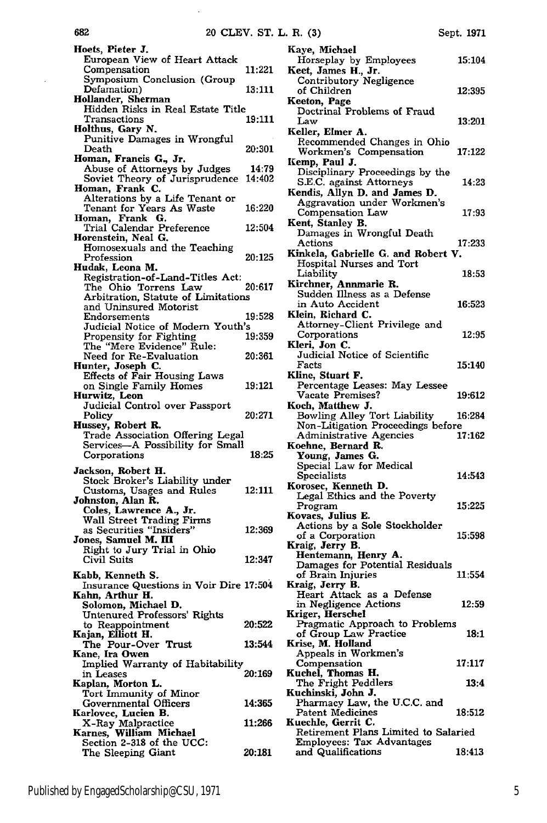| Hoets, Pieter J.                                                            |                 |
|-----------------------------------------------------------------------------|-----------------|
| European View of Heart Attack                                               |                 |
| Compensation<br>Symposium Conclusion (Group                                 | 11:221          |
| <b>D</b> efamation)                                                         | 13:111          |
| Hollander, Sherman<br>Hidden Risks in Real Estate Title                     |                 |
| Transactions                                                                | 19:111          |
| Holthus, Gary N.                                                            |                 |
| Punitive Damages in Wrongful<br>Death                                       | 20:301          |
| Homan, Francis G., Jr.                                                      |                 |
| Abuse of Attorneys by Judges<br>Soviet Theory of Jurisprudence              | 14:79<br>14:402 |
| Homan, Frank C.                                                             |                 |
| Alterations by a Life Tenant or<br>Tenant for Years As Waste                |                 |
| Frank G.<br>Homan,                                                          | 16:220          |
| Trial Calendar Preference<br>Horenstein, Neal G.                            | 12:504          |
|                                                                             |                 |
| Homosexuals and the Teaching<br>Profession                                  | 20:125          |
| Hudak, Leona M.                                                             |                 |
| Registration-of-Land-Titles Act:<br>The Ohio Torrens Law                    | 20:617          |
| Arbitration, Statute of Limitations                                         |                 |
| and Uninsured Motorist                                                      |                 |
| Endorsements<br>Judicial Notice of Modern Youth's                           | 19:528          |
| Propensity for Fighting                                                     | 19:359          |
| The "Mere Evidence" Rule:                                                   | 20:361          |
| Need for Re-Evaluation<br>Hunter, Joseph C.                                 |                 |
| <b>Effects of Fair Housing Laws</b>                                         |                 |
| on Single Family Homes<br>Hurwitz, Leon                                     | 19:121          |
|                                                                             |                 |
| Judicial Control over Passport                                              |                 |
| Policy                                                                      | 20:271          |
| Hussey, Robert R.                                                           |                 |
| <b>Trade Association Offering Legal</b><br>Services-A Possibility for Small |                 |
| Corporations                                                                | 18:25           |
| Jackson, Robert H.                                                          |                 |
| Stock Broker's Liability under                                              |                 |
| Customs, Usages and Rules<br>Johnston, Alan R.                              | 12:111          |
| Coles, Lawrence A., Jr.                                                     |                 |
| Wall Street Trading Firms                                                   | 12:369          |
| as Securities "Insiders"<br>Jones, Samuel M. III                            |                 |
| Right to Jury Trial in Ohio                                                 |                 |
| Civil Suits                                                                 | 12:347          |
| Kabb, Kenneth S.                                                            |                 |
| <b>Insurance Questions in Voir Dire 17:504</b><br>Kahn, Arthur H.           |                 |
| Solomon, Michael D.                                                         |                 |
| <b>Untenured Professors' Rights</b><br>to Reappointment                     | 20:522          |
| Kajan, Elliott H.                                                           |                 |
|                                                                             | 13:544          |
| The Pour-Over Trust<br>Kane, Ira Owen<br>Implied Warranty of Habitability   |                 |
| in Leases                                                                   | 20:169          |
| Kaplan, Morton L.<br>Tort Immunity of Minor                                 |                 |
| Governmental Officers                                                       | 14:365          |
|                                                                             | 11:266          |
| Karlovec, Lucien B.<br>X-Ray Malpractice<br>Karnes, William Michael         |                 |
| Section 2-318 of the UCC:<br>The Sleeping Giant                             | 20:181          |

| becan broacre manning anacr<br>Customs, Usages and Rules | 12:111 | Korosec, Kenneth D.                                        |        |   |
|----------------------------------------------------------|--------|------------------------------------------------------------|--------|---|
| Johnston, Alan R.                                        |        | Legal Ethics and the Poverty<br>Program                    | 15:225 |   |
| Coles, Lawrence A., Jr.                                  |        | Kovacs, Julius E.                                          |        |   |
| Wall Street Trading Firms                                |        | Actions by a Sole Stockholder                              |        |   |
| as Securities "Insiders"                                 | 12:369 | of a Corporation                                           | 15:598 |   |
| Jones, Samuel M. III                                     |        | Kraig, Jerry B.                                            |        |   |
| Right to Jury Trial in Ohio<br>Civil Suits               | 12:347 | Hentemann, Henry A.                                        |        |   |
|                                                          |        | Damages for Potential Residuals                            |        |   |
| Kabb, Kenneth S.                                         |        | of Brain Injuries                                          | 11:554 |   |
| Insurance Questions in Voir Dire 17:504                  |        | Kraig, Jerry B.                                            |        |   |
| Kahn, Arthur H.                                          |        | Heart Attack as a Defense                                  |        |   |
| Solomon, Michael D.                                      |        | in Negligence Actions                                      | 12:59  |   |
| Untenured Professors' Rights                             |        | Kriger, Herschel                                           |        |   |
| to Reappointment                                         | 20:522 | Pragmatic Approach to Problems                             |        |   |
| Kajan, Elliott H.                                        |        | of Group Law Practice                                      | 18:1   |   |
| The Pour-Over Trust                                      | 13:544 | Krise, M. Holland                                          |        |   |
| Kane, Ira Owen                                           |        | Appeals in Workmen's                                       |        |   |
| Implied Warranty of Habitability                         |        | Compensation                                               | 17:117 |   |
| in Leases                                                | 20:169 | Kuchel, Thomas H.                                          |        |   |
| Kaplan, Morton L.                                        |        | The Fright Peddlers                                        | 13:4   |   |
| Tort Immunity of Minor                                   |        | Kuchinski, John J.                                         |        |   |
| Governmental Officers                                    | 14:365 | Pharmacy Law, the U.C.C. and                               |        |   |
| Karlovec, Lucien B.                                      |        | <b>Patent Medicines</b>                                    | 18:512 |   |
| X-Ray Malpractice                                        | 11:266 | Kuechle, Gerrit C.<br>Retirement Plans Limited to Salaried |        |   |
| Karnes, William Michael                                  |        |                                                            |        |   |
| Section 2-318 of the UCC:                                | 20:181 | <b>Employees: Tax Advantages</b><br>and Qualifications     | 18:413 |   |
| The Sleeping Giant                                       |        |                                                            |        |   |
|                                                          |        |                                                            |        |   |
|                                                          |        |                                                            |        |   |
| Published by EngagedScholarship@CSU, 1971                |        |                                                            |        | 5 |
|                                                          |        |                                                            |        |   |
|                                                          |        |                                                            |        |   |
|                                                          |        |                                                            |        |   |
|                                                          |        |                                                            |        |   |
|                                                          |        |                                                            |        |   |
|                                                          |        |                                                            |        |   |
|                                                          |        |                                                            |        |   |
|                                                          |        |                                                            |        |   |

| Kaye, Michael                                                |        |
|--------------------------------------------------------------|--------|
| Horseplay by Employees<br>Keet, James H., Jr.                | 15:104 |
| Contributory Negligence                                      |        |
| of Children                                                  | 12:395 |
| Keeton, Page<br>Doctrinal Problems of Fraud                  |        |
| Law                                                          | 13:201 |
| Keller, Elmer A.                                             |        |
| Recommended Changes in Ohio<br>Workmen's Compensation        | 17:122 |
| Kemp, Paul J.                                                |        |
| Disciplinary Proceedings by the<br>S.E.C. against Attorneys  | 14:23  |
| Kendis, Allyn D. and James D.                                |        |
| Aggravation under Workmen's                                  |        |
| Compensation Law<br>Kent, Stanley B.                         | 17:93  |
| Damages in Wrongful Death                                    |        |
| Actions<br>Kinkela, Gabrielle G. and Robert V.               | 17:233 |
| Hospital Nurses and Tort                                     |        |
| Liability                                                    | 18:53  |
| Kirchner, Annmarie R.<br>Sudden Illness as a Defense         |        |
| in Auto Accident                                             | 16:523 |
| Klein, Richard C.                                            |        |
| Attorney-Client Privilege and<br>Corporations                | 12:95  |
| Kleri, Jon C.                                                |        |
| Judicial Notice of Scientific<br>Facts                       | 15:140 |
| Kline, Stuart F.                                             |        |
| Percentage Leases: May Lessee                                | 19:612 |
| Vacate Premises?<br>Koch, Matthew J.                         |        |
| Bowling Alley Tort Liability                                 | 16:284 |
| Non-Litigation Proceedings before<br>Administrative Agencies | 17:162 |
| Koehne, Bernard R.                                           |        |
| Young, James G.<br>Special Law for Medical                   |        |
| Specialists                                                  | 14:543 |
| Korosec, Kenneth D.<br>Legal Ethics and the Poverty          |        |
| Program                                                      | 15:225 |
| Kovacs, Julius E.                                            |        |
| Actions by a Sole Stockholder<br>of a Corporation            | 15:598 |
| Kraig, Jerry B.                                              |        |
| Hentemann, Henry A.<br>Damages for Potential Residuals       |        |
| of Brain Injuries                                            | 11:554 |
| Kraig, Jerry B.<br>Heart Attack as a Defense                 |        |
| in Negligence Actions                                        | 12:59  |
| Kriger, Herschel                                             |        |
| Pragmatic Approach to Problems<br>of Group Law Practice      | 18:1   |
| Krise, M. Holland                                            |        |
| Appeals in Workmen's<br>Compensation                         | 17:117 |
| Kuchel, Thomas H.                                            |        |
| The Fright Peddlers<br>Kuchinski, John J.                    | 13:4   |
| Pharmacy Law, the U.C.C. and                                 |        |
| <b>Patent Medicines</b><br>Kuechle, Gerrit C.                | 18:512 |
| Retirement Plans Limited to Salaried                         |        |
| Employees: Tax Advantages                                    |        |

 $\bar{.}$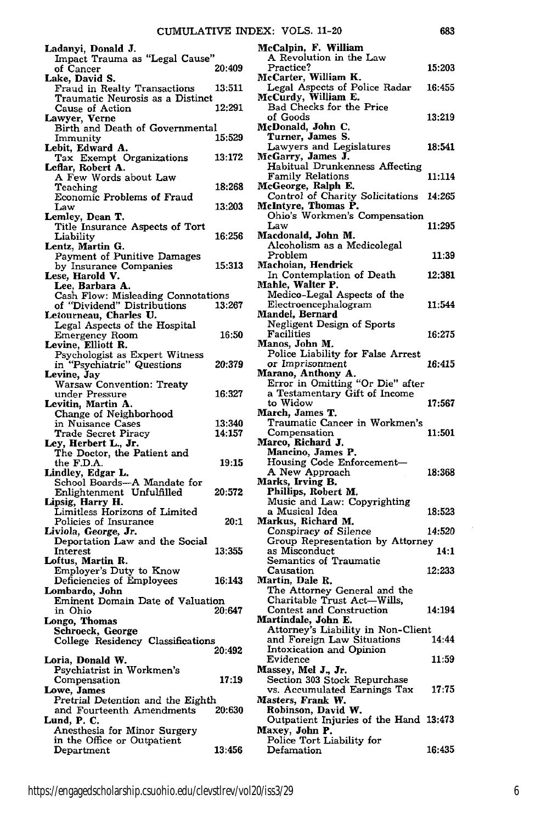| Ladanyi, Donald J.                                       |        |
|----------------------------------------------------------|--------|
| Impact Trauma as "Legal Cause"                           | 20:409 |
| of Cancer<br>Lake, David S.                              |        |
| Fraud in Realty Transactions                             | 13:511 |
| Traumatic Neurosis as a Distinct                         |        |
| Cause of Action                                          | 12:291 |
| Lawyer, Verne<br>Birth and Death of Governmental         |        |
| Immunity                                                 | 15:529 |
| Lebit, Edward A.                                         |        |
| Tax Exempt Organizations                                 | 13:172 |
| Leflar, Robert A.                                        |        |
| A Few Words about Law<br>Teaching                        | 18:268 |
| Economic Problems of Fraud                               |        |
| Law                                                      | 13:203 |
| Lemley, Dean T.                                          |        |
| Title Insurance Aspects of Tort<br>Liability             | 16:256 |
| Lentz, Martin G.                                         |        |
| Payment of Punitive Damages                              |        |
| by Insurance Companies                                   | 15:313 |
| Lese, Harold V.                                          |        |
| Lee, Barbara A.<br>Cash Flow: Misleading Connotations    |        |
| of "Dividend" Distributions                              | 13:267 |
| Letourneau, Charles U.                                   |        |
| Legal Aspects of the Hospital                            |        |
| Emergency Room                                           | 16:50  |
| Levine, Elliott R.                                       |        |
| Psychologist as Expert Witness                           | 20:379 |
| in "Psychiatric" Questions<br>Levine, Jay                |        |
| Warsaw Convention: Treaty                                |        |
| under Pressure<br>Levitin, Martin A.                     | 16:327 |
|                                                          |        |
|                                                          |        |
| Change of Neighborhood                                   |        |
| in Nuisance Cases                                        | 13:340 |
| Trade Secret Piracy                                      | 14:157 |
| Ley, Herbert L., Jr.                                     |        |
| The Doctor, the Patient and                              | 19:15  |
| the F.D.A.<br>Lindley, Edgar L.                          |        |
|                                                          |        |
| School Boards-A Mandate for<br>Enlightenment Unfulfilled | 20:572 |
| Lipsig, Harry H.                                         |        |
| Limitless Horizons of Limited                            |        |
| Policies of Insurance                                    | 20:1   |
| Liviola, George, Jr.<br>Deportation Law and the Social   |        |
| <b>Interest</b>                                          | 13:355 |
| Loftus, Martin R.                                        |        |
| Employer's Duty to Know                                  |        |
| Deficiencies of Employees                                | 16:143 |
| Lombardo, John                                           |        |
| Eminent Domain Date of Valuation<br>in Ohio              | 20:647 |
| Longo, Thomas                                            |        |
| Schroeck, George                                         |        |
| College Residency Classifications                        |        |
|                                                          | 20:492 |
| Loria, Donald W.                                         |        |
| Psychiatrist in Workmen's<br>Compensation                | 17:19  |
| Lowe, James                                              |        |
| Pretrial Detention and the Eighth                        |        |
| and Fourteenth Amendments                                | 20:630 |
| Lund, P. C.                                              |        |
| Anesthesia for Minor Surgery                             |        |
| in the Office or Outpatient<br>Department                | 13:456 |

| McCalpin, F. William                                             |        |
|------------------------------------------------------------------|--------|
| A Revolution in the Law                                          |        |
| <b>Practice?</b>                                                 | 15:203 |
| McCarter, William K.<br>Legal Aspects of Police Radar            | 16:455 |
| McCurdy, William E.                                              |        |
| Bad Checks for the Price                                         |        |
| of Goods                                                         | 13:219 |
| McDonald, John C.                                                |        |
| Turner, James S.                                                 |        |
| Lawyers and Legislatures<br>McGarry, James J.                    | 18:541 |
|                                                                  |        |
| Habitual Drunkenness Affecting                                   |        |
| Family Relations                                                 | 11:114 |
| McGeorge, Ralph E.<br>Control of Charity Solicitations           | 14:265 |
| McIntyre, Thomas P.                                              |        |
| Ohio's Workmen's Compensation                                    |        |
| Law                                                              | 11:295 |
| Macdonald, John M.                                               |        |
| Alcoholism as a Medicolegal                                      |        |
| Problem                                                          | 11:39  |
| Machoian, Hendrick                                               |        |
| In Contemplation of Death                                        | 12:381 |
| Mahle, Walter P.<br>Medico-Legal Aspects of the                  |        |
| Electroencephalogram                                             | 11:544 |
| Mandel, Bernard                                                  |        |
| Negligent Design of Sports                                       |        |
| Facilities                                                       | 16:275 |
| Manos, John M.                                                   |        |
| Police Liability for False Arrest                                |        |
| or Imprisonment                                                  | 16:415 |
| Marano, Anthony A.<br>Error in Omitting "Or Die" after           |        |
| a Testamentary Gift of Income                                    |        |
| to Widow                                                         | 17:567 |
|                                                                  |        |
|                                                                  |        |
| March, James T.                                                  |        |
| Traumatic Cancer in Workmen's<br>Compensation                    | 11:501 |
| Marco, Richard J.                                                |        |
| Mancino, James P.                                                |        |
| Housing Code Enforcement-                                        |        |
| A New Approach                                                   | 18:368 |
| Marks, Irving B.                                                 |        |
| Phillips, Robert M.                                              |        |
| Music and Law: Copyrighting<br>a Musical Idea                    | 18:523 |
| Markus, Richard M.                                               |        |
| Conspiracy of Silence                                            | 14:520 |
| Group Representation by Attorney                                 |        |
| as Misconduct                                                    | 14:1   |
| Semantics of Traumatic                                           |        |
| Causation                                                        | 12:233 |
| Martin, Dale R.                                                  |        |
| The Attorney General and the                                     |        |
| Charitable Trust Act-Wills,<br>Contest and Construction          | 14:194 |
| Martindale, John E.                                              |        |
|                                                                  |        |
| Attorney's Liability in Non-Client<br>and Foreign Law Situations | 14:44  |
| <b>Intoxication and Opinion</b>                                  |        |
| Evidence                                                         | 11:59  |
| Massey, Mel J., Jr.                                              |        |
| Section 303 Stock Repurchase                                     | 17:75  |
| vs. Accumulated Earnings Tax                                     |        |
| Masters, Frank W.                                                |        |
| Robinson, David W.<br>Outpatient Injuries of the Hand 13:473     |        |
| Maxey, John P.                                                   |        |
| Police Tort Liability for<br>Defamation                          | 16:435 |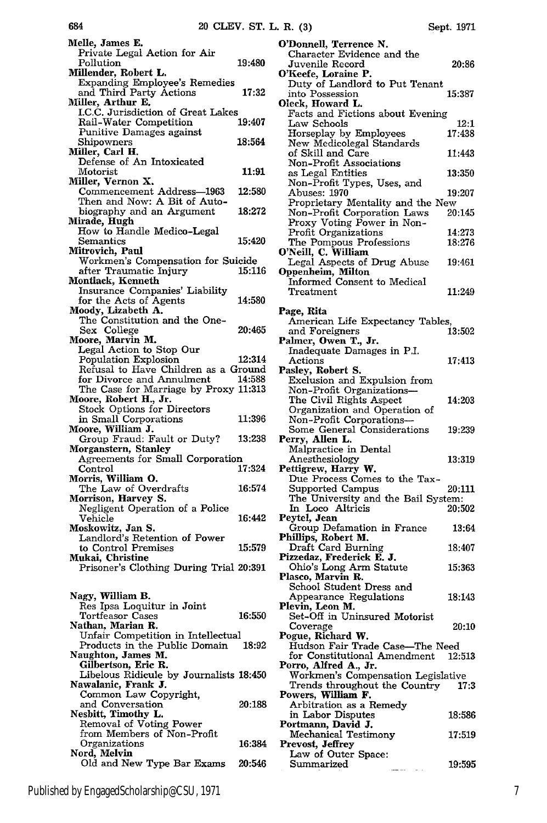| Melle, James E.                                                |        |
|----------------------------------------------------------------|--------|
| Private Legal Action for Air                                   |        |
| Pollution<br>Millender, Robert L.                              | 19:480 |
| <b>Expanding Employee's Remedies</b>                           |        |
| and Third Party Actions                                        | 17:32  |
| Miller, Arthur E.                                              |        |
| I.C.C. Jurisdiction of Great Lakes<br>Rail-Water Competition   | 19:407 |
| Punitive Damages against                                       |        |
| Shipowners                                                     | 18:564 |
| Miller, Carl H.                                                |        |
| Defense of An Intoxicated<br>Motorist                          | 11:91  |
| Miller, Vernon X.                                              |        |
| Commencement Address-1963                                      | 12:580 |
| Then and Now: A Bit of Auto-                                   |        |
| biography and an Argument<br>Mirade, Hugh                      | 18:272 |
| How to Handle Medico-Legal                                     |        |
| Semantics                                                      | 15:420 |
| Mitrovich, Paul                                                |        |
| Workmen's Compensation for Suicide<br>after Traumatic Injury   | 15:116 |
| Montlack, Kenneth                                              |        |
| Insurance Companies' Liability                                 |        |
| for the Acts of Agents                                         | 14:580 |
| Moody, Lizabeth A.<br>The Constitution and the One-            |        |
| Sex College                                                    | 20:465 |
| Moore, Marvin M.                                               |        |
| Legal Action to Stop Our                                       |        |
| Population Explosion<br>Refusal to Have Children as a Ground   | 12:314 |
| for Divorce and Annulment                                      | 14:588 |
| The Case for Marriage by Proxy 11:313<br>Moore, Robert H., Jr. |        |
|                                                                |        |
| Stock Options for Directors                                    | 11:396 |
| in Small Corporations<br>Moore, William J.                     |        |
| Group Fraud: Fault or Duty?                                    | 13:238 |
| Morganstern, Stanley                                           |        |
| Agreements for Small Corporation                               | 17:324 |
| Control<br>Morris, William O.                                  |        |
| The Law of Overdrafts                                          | 16:574 |
| Morrison, Harvey S.                                            |        |
| Negligent Operation of a Police                                |        |
| Vehicle<br>Moskowitz, Jan S.                                   | 16:442 |
|                                                                |        |
| Landlord's Retention of Power<br>to Control Premises           | 15:579 |
| Mukai, Christine                                               |        |
| Prisoner's Clothing During Trial 20:391                        |        |
|                                                                |        |
| Nagy, William B.                                               |        |
| Res Ipsa Loquitur in Joint<br>Tortfeasor Cases                 | 16:550 |
| Nathan, Marian R.                                              |        |
| Unfair Competition in Intellectual                             |        |
| Products in the Public Domain                                  | 18:92  |
| Naughton, James M.<br>Gilbertson, Eric R.                      |        |
| Libelous Ridicule by Journalists 18:450                        |        |
| Nawalanic, Frank J.                                            |        |
| Common Law Copyright,                                          |        |
| and Conversation<br>Nesbitt, Timothy L.                        | 20:188 |
| Removal of Voting Power                                        |        |
| from Members of Non-Profit                                     |        |
| Organizations                                                  | 16:384 |
| Nord, Melvin<br>Old and New Type Bar Exams                     | 20:546 |
|                                                                |        |

|  | Sept. | 1971 |
|--|-------|------|
|--|-------|------|

| O'Donnell, Terrence N.                                              |        |
|---------------------------------------------------------------------|--------|
| Character Evidence and the<br>Juvenile Record                       | 20:86  |
| O'Keefe, Loraine P.                                                 |        |
| Duty of Landlord to Put Tenant                                      |        |
| into Possession<br>Oleck, Howard L.                                 | 15:387 |
| Facts and Fictions about Evening                                    |        |
| Law Schools                                                         | 12:1   |
| Horseplay by Employees<br>New Medicolegal Standards                 | 17:438 |
| of Skill and Care                                                   | 11:443 |
| Non-Profit Associations                                             |        |
| as Legal Entities<br>Non-Profit Types, Uses, and                    | 13:350 |
| Abuses: 1970                                                        | 19:207 |
| Proprietary Mentality and the New                                   |        |
| Non-Profit Corporation Laws<br>Proxy Voting Power in Non-           | 20:145 |
| Profit Organizations                                                | 14:273 |
| The Pompous Professions                                             | 18:276 |
| O'Neill, C. William<br>Legal Aspects of Drug Abuse                  | 19:461 |
| Oppenheim, Milton                                                   |        |
| Informed Consent to Medical                                         |        |
| ${\rm Treatment}$                                                   | 11:249 |
| Page, Rita                                                          |        |
| American Life Expectancy Tables,                                    |        |
| and Foreigners<br>Palmer, Owen T., Jr.                              | 13:502 |
| Inadequate Damages in P.I.                                          |        |
| Actions                                                             | 17:413 |
| Pasley, Robert S.<br>Exclusion and Expulsion from                   |        |
| Non-Profit Organizations-                                           |        |
| The Civil Rights Aspect                                             | 14:203 |
| Organization and Operation of<br>Non-Profit Corporations-           |        |
| Some General Considerations                                         | 19:239 |
| Perry, Allen L.                                                     |        |
| Malpractice in Dental<br>Anesthesiology                             | 13:319 |
| Pettigrew, Harry W.                                                 |        |
| Due Process Comes to the Tax-                                       |        |
| <b>Supported Campus</b><br>The University and the Bail System:      | 20:111 |
| In Loco Altricis                                                    | 20:502 |
| Peytel, Jean                                                        | 13:64  |
| Group Defamation in France<br>Phillips, Robert M.                   |        |
| Draft Card Burning                                                  | 18:407 |
| Pizzedaz, Frederick E. J.<br>Ohio's Long Arm Statute                | 15:363 |
| Plasco, Marvin R.                                                   |        |
| School Student Dress and                                            |        |
| Appearance Regulations<br>Plevin, Leon M.                           | 18:143 |
| Set-Off in Uninsured Motorist                                       |        |
| Coverage                                                            | 20:10  |
| Pogue, Richard W.<br>Hudson Fair Trade Case-The Need                |        |
| for Constitutional Amendment                                        | 12:513 |
| Porro, Alfred A., Jr.                                               |        |
| Workmen's Compensation Legislative<br>Trends throughout the Country | 17:3   |
| Powers, William F.                                                  |        |
| Arbitration as a Remedy                                             |        |
| in Labor Disputes<br>Portmann, David J.                             | 18:586 |
| Mechanical Testimony                                                | 17:519 |
| Prevost, Jeffrey                                                    |        |
| Law of Outer Space:<br>Summarized                                   | 19:595 |
|                                                                     |        |

684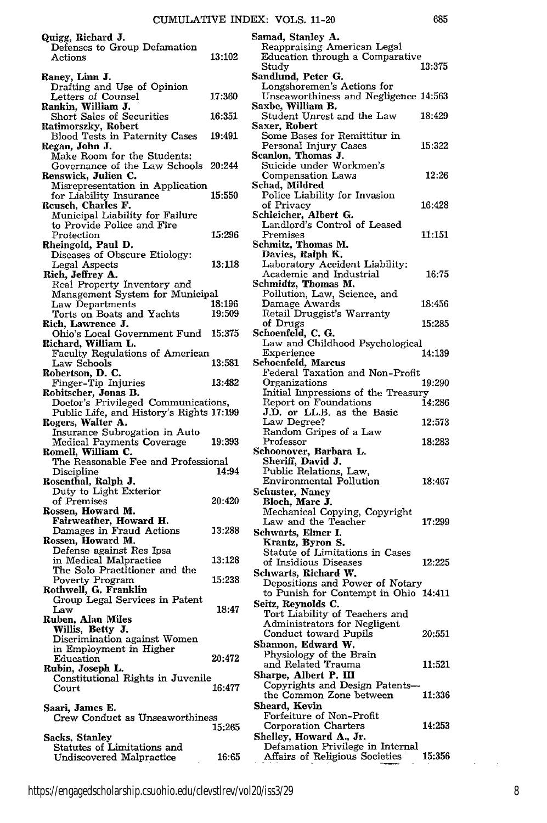| Quigg, Richard J.                                                   |        | Samad, Stanley A.                                                   |        |
|---------------------------------------------------------------------|--------|---------------------------------------------------------------------|--------|
| Defenses to Group Defamation                                        | 13:102 | Reappraising American Legal<br>Education through a Comparative      |        |
| Actions                                                             |        | Study                                                               | 13:375 |
| Raney, Linn J.                                                      |        | Sandlund, Peter G.                                                  |        |
| Drafting and Use of Opinion<br>Letters of Counsel                   | 17:360 | Longshoremen's Actions for<br>Unseaworthiness and Negligence 14:563 |        |
| Rankin, William J.                                                  |        | Saxbe, William B.                                                   |        |
| <b>Short Sales of Securities</b>                                    | 16:351 | Student Unrest and the Law                                          | 18:429 |
| Ratimorszky, Robert<br>Blood Tests in Paternity Cases               | 19:491 | Saxer, Robert<br>Some Bases for Remittitur in                       |        |
| Regan, John J.                                                      |        | Personal Injury Cases                                               | 15:322 |
| Make Room for the Students:<br>Governance of the Law Schools 20:244 |        | Scanlon, Thomas J.<br>Suicide under Workmen's                       |        |
| Renswick, Julien C.                                                 |        | Compensation Laws                                                   | 12:26  |
| Misrepresentation in Application                                    |        | Schad, Mildred                                                      |        |
| for Liability Insurance<br>Reusch, Charles F.                       | 15:550 | Police Liability for Invasion<br>of Privacy                         | 16:428 |
| Municipal Liability for Failure                                     |        | Schleicher, Albert G.                                               |        |
| to Provide Police and Fire                                          |        | Landlord's Control of Leased                                        |        |
| Protection<br>Rheingold, Paul D.                                    | 15:296 | Premises<br>Schmitz, Thomas M.                                      | 11:151 |
| Diseases of Obscure Etiology:                                       |        | Davies, Ralph K.                                                    |        |
| Legal Aspects                                                       | 13:118 | Laboratory Accident Liability:                                      |        |
| Rich, Jeffrey A.<br>Real Property Inventory and                     |        | Academic and Industrial<br>Schmidtz, Thomas M.                      | 16:75  |
| Management System for Municipal                                     |        | Pollution, Law, Science, and                                        |        |
| Law Departments                                                     | 18:196 | Damage Awards                                                       | 18:456 |
| Torts on Boats and Yachts<br>Rich, Lawrence J.                      | 19:509 | Retail Druggist's Warranty<br>of Drugs                              | 15:285 |
| Ohio's Local Government Fund                                        | 15:375 | Schoenfeld, C. G.                                                   |        |
| Richard, William L.                                                 |        | Law and Childhood Psychological                                     |        |
| Faculty Regulations of American<br>Law Schools                      | 13:581 | Experience<br>Schoenfeld, Marcus                                    | 14:139 |
| Robertson, D. C.                                                    |        | Federal Taxation and Non-Profit                                     |        |
| Finger-Tip Injuries                                                 | 13:482 | Organizations                                                       | 19:290 |
| Robitscher, Jonas B.<br>Doctor's Privileged Communications,         |        | Initial Impressions of the Treasury<br>Report on Foundations        | 14:286 |
| Public Life, and History's Rights 17:199                            |        | J.D. or LL.B. as the Basic                                          |        |
| Rogers, Walter A.                                                   |        | Law Degree?<br>Random Gripes of a Law                               | 12:573 |
| Insurance Subrogation in Auto<br>Medical Payments Coverage          | 19:393 | $\rm Professor$                                                     | 18:283 |
| Romell, William C.                                                  |        | Schoonover, Barbara L.                                              |        |
| The Reasonable Fee and Professional<br>Discipline                   | 14:94  | Sheriff, David J.<br>Public Relations, Law,                         |        |
| Rosenthal, Ralph J.                                                 |        | Environmental Pollution                                             | 18:467 |
| Duty to Light Exterior                                              |        | Schuster, Nancy                                                     |        |
| of Premises<br>Rossen, Howard M.                                    | 20:420 | Bloch, Marc J.<br>Mechanical Copying, Copyright                     |        |
| Fairweather, Howard H.                                              |        | Law and the Teacher                                                 | 17:299 |
| Damages in Fraud Actions                                            | 13:288 | Schwarts, Elmer I.                                                  |        |
| Rossen, Howard M.<br>Defense against Res Ipsa                       |        | Krantz, Byron S.                                                    |        |
| in Medical Malpractice                                              | 13:128 | Statute of Limitations in Cases<br>of Insidious Diseases            | 12:225 |
| The Solo Practitioner and the                                       |        | Schwarts, Richard W.                                                |        |
| Poverty Program<br>Rothwell, G. Franklin                            | 15:238 | Depositions and Power of Notary                                     |        |
| Group Legal Services in Patent                                      |        | to Punish for Contempt in Ohio 14:411<br>Seitz, Reynolds C.         |        |
| Law                                                                 | 18:47  | Tort Liability of Teachers and                                      |        |
| Ruben, Alan Miles<br>Willis, Betty J.                               |        | Administrators for Negligent                                        |        |
| Discrimination against Women                                        |        | Conduct toward Pupils<br>Shannon, Edward W.                         | 20:551 |
| in Employment in Higher<br>Education                                | 20:472 | Physiology of the Brain                                             |        |
| Rubin, Joseph L.                                                    |        | and Related Trauma                                                  | 11:521 |
| Constitutional Rights in Juvenile                                   |        | Sharpe, Albert P. III<br>Copyrights and Design Patents-             |        |
| Court                                                               | 16:477 | the Common Zone between                                             | 11:336 |
| Saari, James E.                                                     |        | Sheard, Kevin                                                       |        |
| Crew Conduct as Unseaworthiness                                     | 15:265 | Forfeiture of Non-Profit<br>Corporation Charters                    | 14:253 |
| Sacks, Stanley                                                      |        | Shelley, Howard A., Jr.                                             |        |
| Statutes of Limitations and                                         |        | Defamation Privilege in Internal                                    |        |
| Undiscovered Malpractice                                            | 16:65  | Affairs of Religious Societies                                      | 15:356 |

https://engagedscholarship.csuohio.edu/clevstlrev/vol20/iss3/29 8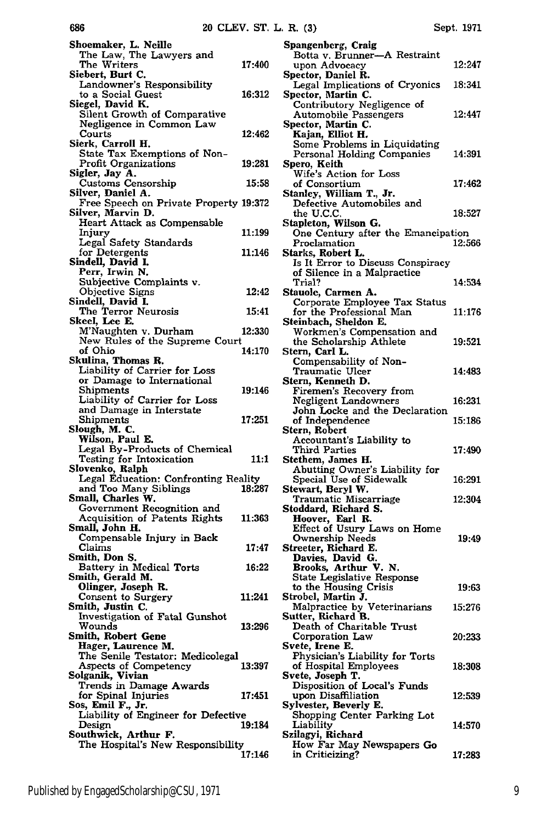| Shoemaker, L. Neille<br>The Law, The Lawyers and<br>The Writers    | 17:400 |
|--------------------------------------------------------------------|--------|
| Siebert, Burt C.                                                   |        |
| Landowner's Responsibility                                         |        |
| to a Social Guest                                                  | 16:312 |
| Siegel, David K.                                                   |        |
| Silent Growth of Comparative                                       |        |
| Negligence in Common Law                                           | 12:462 |
| Courts<br>Sierk, Carroll H.                                        |        |
| State Tax Exemptions of Non-                                       |        |
| <b>Profit Organizations</b>                                        | 19:281 |
| Sigler, Jay A.                                                     |        |
| Customs Censorship                                                 | 15:58  |
| Silver, Daniel A.<br>Free Speech on Private Property 19:372        |        |
| Silver, Marvin D.                                                  |        |
| Heart Attack as Compensable                                        |        |
| Injury                                                             | 11:199 |
| Legal Safety Standards                                             |        |
| for Detergents                                                     | 11:146 |
| Sindell, David I.                                                  |        |
| Perr, Irwin N.                                                     |        |
| Subjective Complaints v.<br>Objective Signs                        | 12:42  |
| Sindell, David I.                                                  |        |
| The Terror Neurosis<br>Skeel, Lee E.                               | 15:41  |
|                                                                    |        |
| M'Naughten v. Durham                                               | 12:330 |
| New Rules of the Supreme Court<br>of Ohio                          | 14:170 |
| Skulina, Thomas R.                                                 |        |
| Liability of Carrier for Loss                                      |        |
| or Damage to International                                         |        |
| Shipments                                                          | 19:146 |
| Liability of Carrier for Loss                                      |        |
| and Damage in Interstate                                           |        |
| Shipments                                                          |        |
|                                                                    | 17:251 |
| Slough, M. C.                                                      |        |
| Wilson, Paul E.                                                    |        |
| Legal By-Products of Chemical<br>Testing for Intoxication          | 11:1   |
| Slovenko, Ralph                                                    |        |
| Legal Education: Confronting Reality                               |        |
| and Too Many Siblings                                              | 18:287 |
| Small, Charles W.                                                  |        |
| Government Recognition and                                         |        |
| Acquisition of Patents Rights                                      | 11:363 |
| Small, John H.<br>Compensable Injury in Back                       |        |
| Claims                                                             | 17:47  |
| Smith, Don S.                                                      |        |
| Battery in Medical Torts                                           | 16:22  |
| Smith, Gerald M.                                                   |        |
|                                                                    |        |
| Olinger, Joseph R.<br>Consent to Surgery<br>Smith, Justin C.       | 11:241 |
| Investigation of Fatal Gunshot                                     |        |
| Wounds                                                             | 13:296 |
| Smith, Robert Gene                                                 |        |
| Hager, Laurence M.                                                 |        |
| The Senile Testator: Medicolegal                                   |        |
| Aspects of Competency                                              | 13:397 |
|                                                                    |        |
| Solganik, Vivian<br>Trends in Damage Awards<br>for Spinal Injuries | 17:451 |
| Sos, Emil F., Jr.                                                  |        |
| Liability of Engineer for Defective                                |        |
| Design                                                             | 19:184 |
| Southwick, Arthur F.<br>The Hospital's New Responsibility          |        |

686

| Spangenberg, Craig                                                       |        |
|--------------------------------------------------------------------------|--------|
| Botta v. Brunner-A Restraint<br>upon Advocacy                            | 12:247 |
| Spector, Daniel R.                                                       |        |
| Legal Implications of Cryonics                                           | 18:341 |
| Spector, Martin C.<br>Contributory Negligence of                         |        |
| Automobile Passengers                                                    | 12:447 |
| Spector, Martin C.<br>Kajan, Elliot H.                                   |        |
| Some Problems in Liquidating                                             |        |
| Personal Holding Companies                                               | 14:391 |
| Spero, Keith<br>Wife's Action for Loss                                   |        |
| of Consortium                                                            | 17:462 |
| Stanley, William T., Jr.<br>Defective Automobiles and                    |        |
| the U.C.C.                                                               | 18:527 |
| Stapleton, Wilson G.                                                     |        |
| One Century after the Emancipation<br>Proclamation                       | 12:566 |
| Starks, Robert L.                                                        |        |
| Is It Error to Discuss Conspiracy                                        |        |
| of Silence in a Malpractice<br>Trial?                                    | 14:534 |
| Stauole, Carmen A.                                                       |        |
| Corporate Employee Tax Status<br>for the Professional Man                | 11:176 |
| Steinbach, Sheldon E.                                                    |        |
| Workmen's Compensation and                                               |        |
| the Scholarship Athlete<br>Stern, Carl L.                                | 19:521 |
| Compensability of Non-                                                   |        |
| Traumatic Ulcer                                                          | 14:483 |
| Stern, Kenneth D.<br>Firemen's Recovery from                             |        |
| <b>Negligent Landowners</b>                                              | 16:231 |
| John Locke and the Declaration<br>of Independence                        | 15:186 |
| Stern, Robert                                                            |        |
| Accountant's Liability to                                                |        |
| Third Parties<br>Stethem, James H.                                       | 17:490 |
| Abutting Owner's Liability for                                           |        |
| Special Use of Sidewalk<br>Stewart, Beryl W.                             | 16:291 |
| Traumatic Miscarriage                                                    | 12:304 |
| Stoddard, Richard S.                                                     |        |
| Hoover, Earl R.<br>Effect of Usury Laws on Home                          |        |
| <b>Ownership Needs</b>                                                   | 19:49  |
| Streeter, Richard E.<br>Davies, David G.                                 |        |
| <b>Brooks, Arthur V. N.</b><br>State Legislative Response                |        |
|                                                                          | 19:63  |
| to the Housing Crisis                                                    |        |
| Strobel, Martin J.<br>Malpractice by Veterinarians<br>Sutter, Richard B. | 15:276 |
| Death of Charitable Trust                                                |        |
| Corporation Law                                                          | 20:233 |
| Svete, Irene E.                                                          |        |
| Physician's Liability for Torts<br>of Hospital Employees                 | 18:308 |
| Svete, Joseph T.                                                         |        |
| Disposition of Local's Funds<br>upon Disaffiliation                      | 12:539 |
| Sylvester, Beverly E.                                                    |        |
| Shopping Center Parking Lot                                              |        |
| Liability<br>Szilagyi, Richard                                           | 14:570 |
| How Far May Newspapers Go                                                |        |
| in Criticizing?                                                          | 17:283 |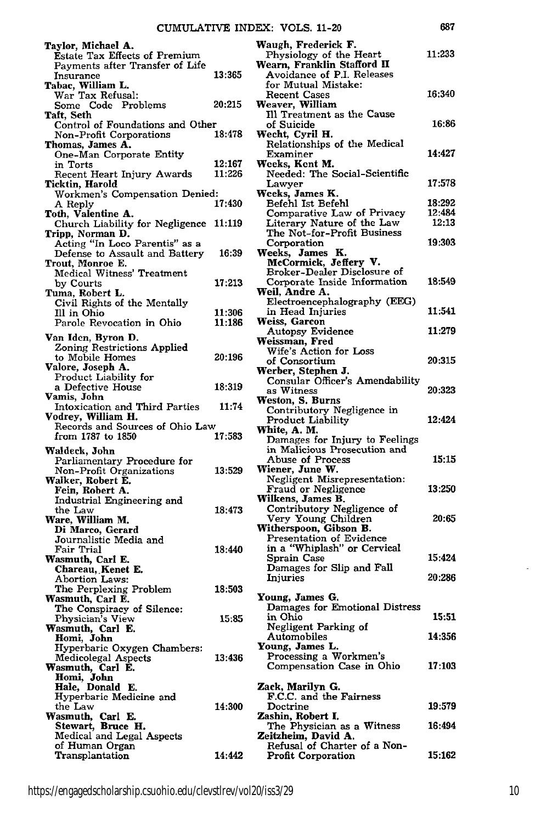| I<br>۰. |  |
|---------|--|

| Taylor, Michael A.<br><b>Estate Tax Effects of Premium</b><br>Payments after Transfer of Life |                  | Waugh, Frederick F.<br>Physiology of the Heart<br>Wearn, Franklin Stafford II | 11:233           |
|-----------------------------------------------------------------------------------------------|------------------|-------------------------------------------------------------------------------|------------------|
| Insurance                                                                                     | 13:365           | Avoidance of P.I. Releases<br>for Mutual Mistake:                             |                  |
| Tabac, William L.<br>War Tax Refusal:                                                         |                  | Recent Cases                                                                  | 16:340           |
| Some Code Problems<br>Taft, Seth                                                              | 20:215           | Weaver, William<br>Ill Treatment as the Cause                                 |                  |
| Control of Foundations and Other                                                              | 18:478           | of Suicide<br>Wecht, Cyril H.                                                 | 16:86            |
| Non-Profit Corporations<br>Thomas, James A.                                                   |                  | Relationships of the Medical                                                  |                  |
| One-Man Corporate Entity<br>in Torts                                                          | 12:167           | Examiner<br>Weeks, Kent M.                                                    | 14:427           |
| Recent Heart Injury Awards                                                                    | 11:226           | Needed: The Social-Scientific                                                 |                  |
| Ticktin, Harold<br>Workmen's Compensation Denied:                                             |                  | Lawyer<br>Weeks, James K.                                                     | 17:578           |
| A Reply<br>Toth, Valentine A.                                                                 | 17:430           | Befehl Ist Befehl<br>Comparative Law of Privacy                               | 18:292<br>12:484 |
| Church Liability for Negligence 11:119                                                        |                  | Literary Nature of the Law                                                    | 12:13            |
| Tripp, Norman D.<br>Acting "In Loco Parentis" as a                                            |                  | The Not-for-Profit Business<br>Corporation                                    | 19:303           |
| Defense to Assault and Battery                                                                | 16:39            | Weeks, James K.                                                               |                  |
| Trout, Monroe E.<br>Medical Witness' Treatment                                                |                  | McCormick, Jeffery V.<br>Broker-Dealer Disclosure of                          |                  |
| by Courts<br>Tuma, Robert L.                                                                  | 17:213           | Corporate Inside Information<br>Weil, Andre A.                                | 18:549           |
| Civil Rights of the Mentally                                                                  |                  | Electroencephalography (EEG)                                                  |                  |
| Ill in Ohio<br>Parole Revocation in Ohio                                                      | 11:306<br>11:186 | in Head Injuries<br>Weiss, Garcon                                             | 11:541           |
| Van Iden, Byron D.                                                                            |                  | Autopsy Evidence                                                              | 11:279           |
| Zoning Restrictions Applied                                                                   |                  | Weissman, Fred<br>Wife's Action for Loss                                      |                  |
| to Mobile Homes<br>Valore, Joseph A.                                                          | 20:196           | of Consortium<br>Werber, Stephen J.                                           | 20:315           |
| Product Liability for<br>a Defective House                                                    | 18:319           | Consular Officer's Amendability                                               |                  |
| Vamis, John                                                                                   |                  | as Witness<br>Weston, S. Burns                                                | 20:323           |
| Intoxication and Third Parties<br>Vodrey, William H.                                          | 11:74            | Contributory Negligence in                                                    | 12:424           |
| Records and Sources of Ohio Law                                                               | 17:583           | Product Liability<br>White, A. M.                                             |                  |
| from 1787 to 1850<br>Waldeck, John                                                            |                  | Damages for Injury to Feelings<br>in Malicious Prosecution and                |                  |
| Parliamentary Procedure for                                                                   |                  | Abuse of Process                                                              | 15:15            |
| Non-Profit Organizations<br>Walker, Robert E.                                                 | 13:529           | Wiener, June W.<br>Negligent Misrepresentation:                               |                  |
| Fein, Robert A.                                                                               |                  | Fraud or Negligence<br>Wilkens, James B.                                      | 13:250           |
| Industrial Engineering and<br>the Law                                                         | 18:473           | Contributory Negligence of                                                    |                  |
| Ware, William M.<br>Di Marco, Gerard                                                          |                  | Very Young Children<br>Witherspoon, Gibson B.                                 | 20:65            |
| Journalistic Media and                                                                        |                  | Presentation of Evidence                                                      |                  |
| Fair Trial<br>Wasmuth, Carl E.                                                                | 18:440           | in a "Whiplash" or Cervical<br>Sprain Case                                    | 15:424           |
| Chareau, Kenet E.                                                                             |                  | Damages for Slip and Fall<br><b>Injuries</b>                                  | 20:286           |
| Abortion Laws:<br>The Perplexing Problem                                                      | 18:503           |                                                                               |                  |
| Wasmuth, Carl E.<br>The Conspiracy of Silence:                                                |                  | Young, James G.<br>Damages for Emotional Distress                             |                  |
| Physician's View                                                                              | 15:85            | in Ohio                                                                       | 15:51            |
| Wasmuth, Carl E.<br>Homi, John                                                                |                  | Negligent Parking of<br>Automobiles                                           | 14:356           |
| Hyperbaric Oxygen Chambers:<br>Medicolegal Aspects                                            | 13:436           | Young, James L.<br>Processing a Workmen's                                     |                  |
| Wasmuth, Carl E.                                                                              |                  | Compensation Case in Ohio                                                     | 17:103           |
| Homi, John<br>Hale, Donald E.                                                                 |                  | Zack, Marilyn G.                                                              |                  |
| Hyperbaric Medicine and<br>the Law                                                            | 14:300           | F.C.C. and the Fairness<br>Doctrine                                           | 19:579           |
| Wasmuth, Carl E.                                                                              |                  | Zashin, Robert I.                                                             |                  |
| Stewart, Bruce H.<br>Medical and Legal Aspects                                                |                  | The Physician as a Witness<br>Zeitzheim. David A.                             | 16:494           |
| of Human Organ                                                                                |                  | Refusal of Charter of a Non-                                                  |                  |
| Transplantation                                                                               | 14:442           | <b>Profit Corporation</b>                                                     | 15:162           |